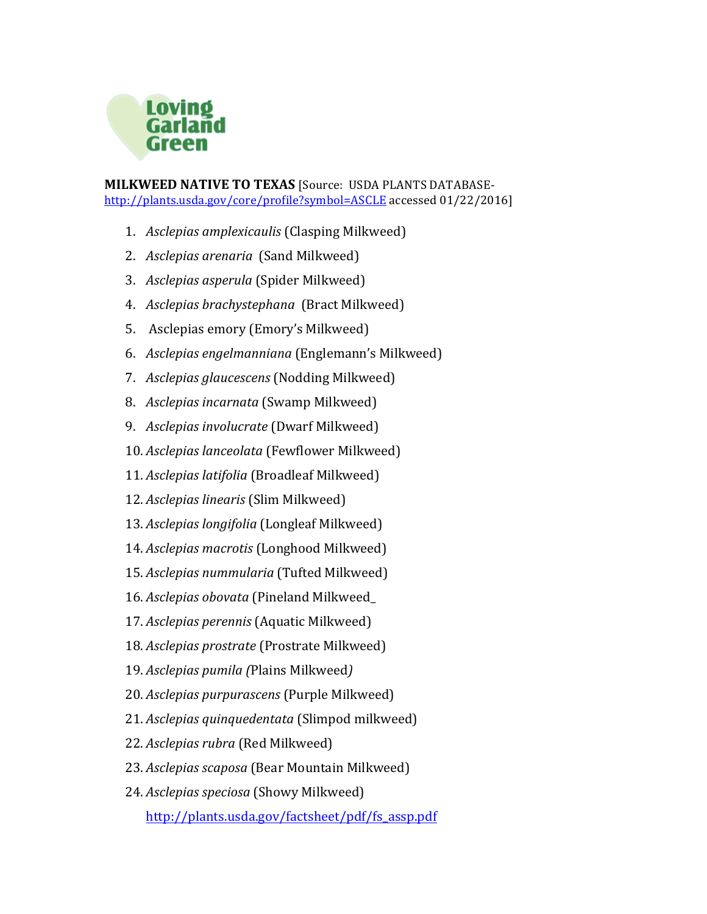

**MILKWEED NATIVE TO TEXAS** [Source: USDA PLANTS DATABASEhttp://plants.usda.gov/core/profile?symbol=ASCLE accessed 01/22/2016]

- 1. *Asclepias amplexicaulis* (Clasping Milkweed)
- 2. *Asclepias arenaria* (Sand Milkweed)
- 3. *Asclepias asperula* (Spider Milkweed)
- 4. *Asclepias brachystephana* (Bract Milkweed)
- 5. Asclepias emory (Emory's Milkweed)
- 6. *Asclepias engelmanniana* (Englemann's Milkweed)
- 7. *Asclepias glaucescens* (Nodding Milkweed)
- 8. *Asclepias incarnata* (Swamp Milkweed)
- 9. *Asclepias involucrate* (Dwarf Milkweed)
- 10. *Asclepias lanceolata* (Fewflower Milkweed)
- 11. *Asclepias latifolia* (Broadleaf Milkweed)
- 12. *Asclepias linearis* (Slim Milkweed)
- 13. Asclepias longifolia (Longleaf Milkweed)
- 14. Asclepias macrotis (Longhood Milkweed)
- 15. *Asclepias nummularia* (Tufted Milkweed)
- 16. *Asclepias obovata* (Pineland Milkweed
- 17. *Asclepias perennis* (Aquatic Milkweed)
- 18. *Asclepias prostrate* (Prostrate Milkweed)
- 19. *Asclepias pumila (*Plains Milkweed*)*
- 20. *Asclepias purpurascens* (Purple Milkweed)
- 21. *Asclepias quinquedentata* (Slimpod milkweed)
- 22. *Asclepias rubra* (Red Milkweed)
- 23. *Asclepias scaposa* (Bear Mountain Milkweed)
- 24. *Asclepias speciosa* (Showy Milkweed)

http://plants.usda.gov/factsheet/pdf/fs\_assp.pdf